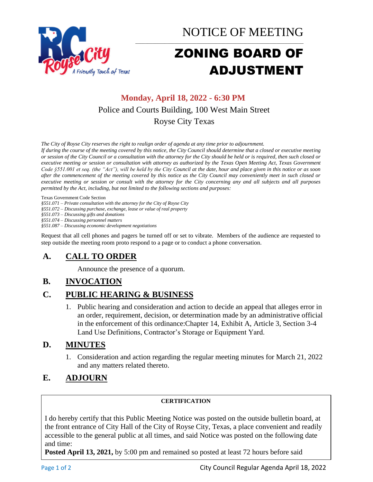

NOTICE OF MEETING

# ZONING BOARD OF ADJUSTMENT

\_\_\_\_\_\_\_\_\_\_\_\_\_\_\_\_\_\_\_\_\_\_\_\_\_\_\_\_\_\_\_\_\_\_\_\_\_\_\_\_\_\_\_\_\_\_\_\_\_\_\_\_\_\_\_\_\_\_\_\_\_\_\_\_\_\_\_\_\_

## **Monday, April 18, 2022 - 6:30 PM** Police and Courts Building, 100 West Main Street Royse City Texas

*The City of Royse City reserves the right to realign order of agenda at any time prior to adjournment.*

*If during the course of the meeting covered by this notice, the City Council should determine that a closed or executive meeting or session of the City Council or a consultation with the attorney for the City should be held or is required, then such closed or executive meeting or session or consultation with attorney as authorized by the Texas Open Meeting Act, Texas Government Code §551.001 et seq. (the "Act"), will be held by the City Council at the date, hour and place given in this notice or as soon after the commencement of the meeting covered by this notice as the City Council may conveniently meet in such closed or executive meeting or session or consult with the attorney for the City concerning any and all subjects and all purposes permitted by the Act, including, but not limited to the following sections and purposes:*

Texas Government Code Section

*§551.071 – Private consultation with the attorney for the City of Royse City* 

*§551.072 – Discussing purchase, exchange, lease or value of real property* 

*§551.073 – Discussing gifts and donations*

*§551.074 – Discussing personnel matters*

*§551.087 – Discussing economic development negotiations*

Request that all cell phones and pagers be turned off or set to vibrate. Members of the audience are requested to step outside the meeting room proto respond to a page or to conduct a phone conversation.

## **A. CALL TO ORDER**

Announce the presence of a quorum.

### **B. INVOCATION**

### **C. PUBLIC HEARING & BUSINESS**

1. Public hearing and consideration and action to decide an appeal that alleges error in an order, requirement, decision, or determination made by an administrative official in the enforcement of this ordinance:Chapter 14, Exhibit A, Article 3, Section 3-4 Land Use Definitions, Contractor's Storage or Equipment Yard.

### **D. MINUTES**

1. Consideration and action regarding the regular meeting minutes for March 21, 2022 and any matters related thereto.

### **E. ADJOURN**

#### **CERTIFICATION**

I do hereby certify that this Public Meeting Notice was posted on the outside bulletin board, at the front entrance of City Hall of the City of Royse City, Texas, a place convenient and readily accessible to the general public at all times, and said Notice was posted on the following date and time:

**Posted April 13, 2021,** by 5:00 pm and remained so posted at least 72 hours before said